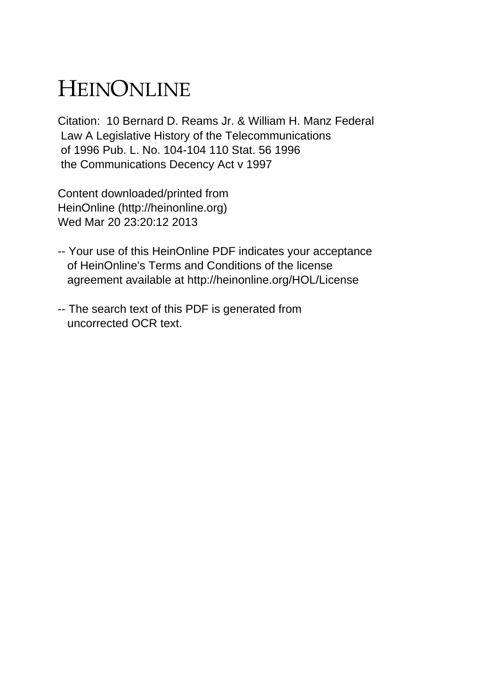## HEINONLINE

Citation: 10 Bernard D. Reams Jr. & William H. Manz Federal Law A Legislative History of the Telecommunications of 1996 Pub. L. No. 104-104 110 Stat. 56 1996 the Communications Decency Act v 1997

Content downloaded/printed from HeinOnline (http://heinonline.org) Wed Mar 20 23:20:12 2013

- -- Your use of this HeinOnline PDF indicates your acceptance of HeinOnline's Terms and Conditions of the license agreement available at http://heinonline.org/HOL/License
- -- The search text of this PDF is generated from uncorrected OCR text.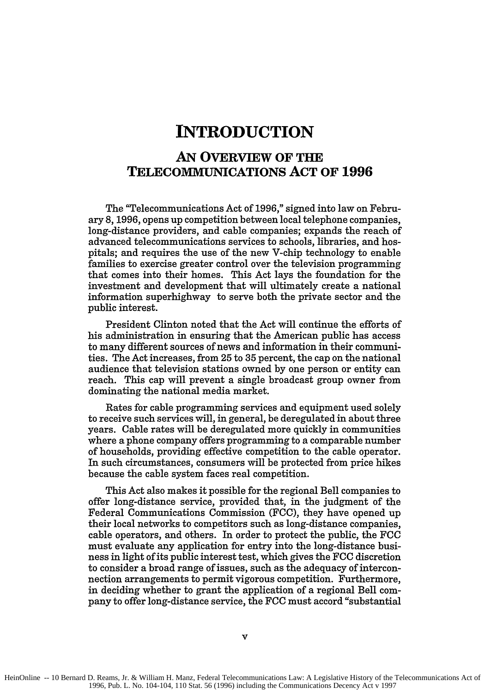## **INTRODUCTION**

## **AN OVERVIEW OF THE TELECOMMUNICATIONS ACT OF 1996**

The "Telecommunications Act of **1996,"** signed into law on February **8, 1996,** opens up competition between local telephone companies, long-distance providers, and cable companies; expands the reach of advanced telecommunications services to schools, libraries, and hospitals; and requires the use of the new V-chip technology to enable families to exercise greater control over the television programming that comes into their homes. This Act lays the foundation for the investment and development that will ultimately create a national information superhighway to serve both the private sector and the public interest.

President Clinton noted that the Act will continue the efforts of his administration in ensuring that the American public has access to many different sources of news and information in their communities. The Act increases, from **25** to **35** percent, the cap on the national audience that television stations owned **by** one person or entity can reach. This cap will prevent a single broadcast group owner from dominating the national media market.

Rates for cable programming services and equipment used solely to receive such services will, in general, be deregulated in about three years. Cable rates will be deregulated more quickly in communities where a phone company offers programming to a comparable number of households, providing effective competition to the cable operator. In such circumstances, consumers will be protected from price hikes because the cable system faces real competition.

This Act also makes it possible for the regional Bell companies to offer long-distance service, provided that, in the judgment of the Federal Communications Commission (FCC), they have opened up their local networks to competitors such as long-distance companies, cable operators, and others. In order to protect the public, the FCC must evaluate any application for entry into the long-distance business in light of its public interest test, which gives the FCC discretion to consider a broad range of issues, such as the adequacy of interconnection arrangements to permit vigorous competition. Furthermore, in deciding whether to grant the application of a regional Bell company to offer long-distance service, the FCC must accord "substantial